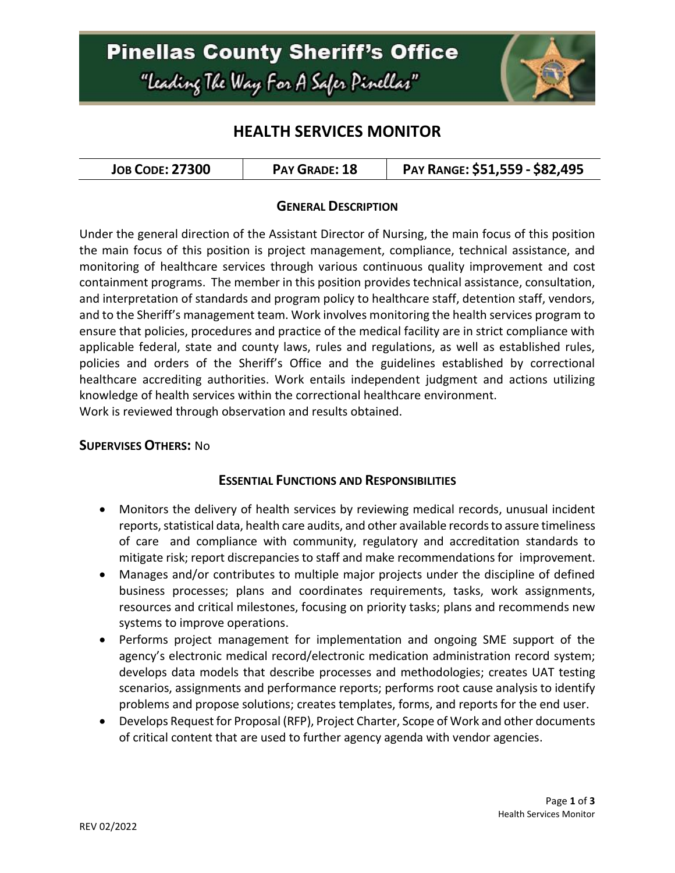# **Pinellas County Sheriff's Office** "Leading The Way For A Safer Pinellar"



## **HEALTH SERVICES MONITOR**

| <b>JOB CODE: 27300</b> | PAY GRADE: 18 | PAY RANGE: \$51,559 - \$82,495 |
|------------------------|---------------|--------------------------------|
|------------------------|---------------|--------------------------------|

### **GENERAL DESCRIPTION**

Under the general direction of the Assistant Director of Nursing, the main focus of this position the main focus of this position is project management, compliance, technical assistance, and monitoring of healthcare services through various continuous quality improvement and cost containment programs. The member in this position provides technical assistance, consultation, and interpretation of standards and program policy to healthcare staff, detention staff, vendors, and to the Sheriff's management team. Work involves monitoring the health services program to ensure that policies, procedures and practice of the medical facility are in strict compliance with applicable federal, state and county laws, rules and regulations, as well as established rules, policies and orders of the Sheriff's Office and the guidelines established by correctional healthcare accrediting authorities. Work entails independent judgment and actions utilizing knowledge of health services within the correctional healthcare environment. Work is reviewed through observation and results obtained.

#### **SUPERVISES OTHERS:** No

#### **ESSENTIAL FUNCTIONS AND RESPONSIBILITIES**

- Monitors the delivery of health services by reviewing medical records, unusual incident reports, statistical data, health care audits, and other available recordsto assure timeliness of care and compliance with community, regulatory and accreditation standards to mitigate risk; report discrepancies to staff and make recommendations for improvement.
- Manages and/or contributes to multiple major projects under the discipline of defined business processes; plans and coordinates requirements, tasks, work assignments, resources and critical milestones, focusing on priority tasks; plans and recommends new systems to improve operations.
- Performs project management for implementation and ongoing SME support of the agency's electronic medical record/electronic medication administration record system; develops data models that describe processes and methodologies; creates UAT testing scenarios, assignments and performance reports; performs root cause analysis to identify problems and propose solutions; creates templates, forms, and reports for the end user.
- Develops Request for Proposal (RFP), Project Charter, Scope of Work and other documents of critical content that are used to further agency agenda with vendor agencies.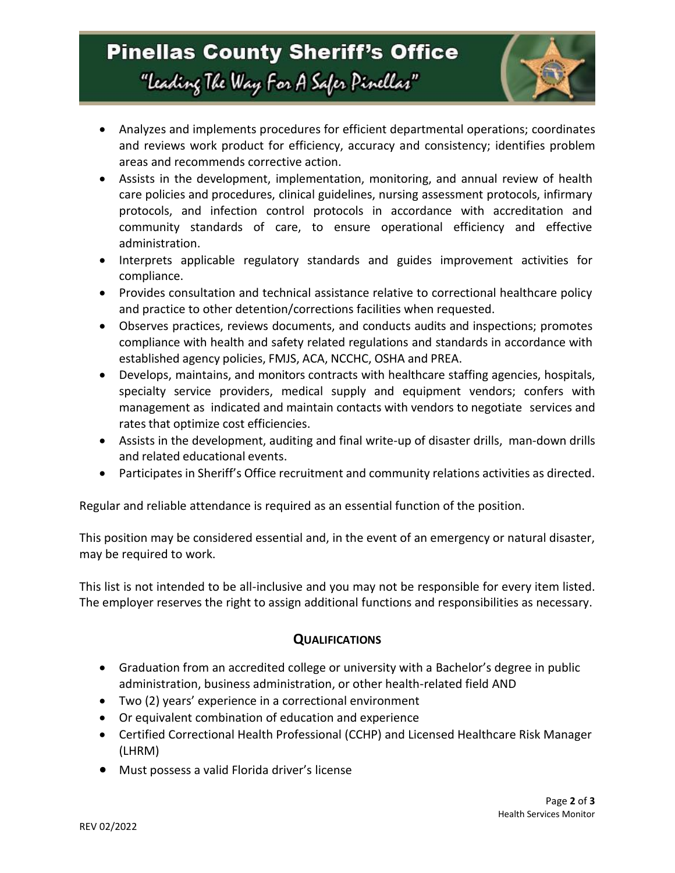# **Pinellas County Sheriff's Office** "Leading The Way For A Safer Pinellar"



- Analyzes and implements procedures for efficient departmental operations; coordinates and reviews work product for efficiency, accuracy and consistency; identifies problem areas and recommends corrective action.
- Assists in the development, implementation, monitoring, and annual review of health care policies and procedures, clinical guidelines, nursing assessment protocols, infirmary protocols, and infection control protocols in accordance with accreditation and community standards of care, to ensure operational efficiency and effective administration.
- Interprets applicable regulatory standards and guides improvement activities for compliance.
- Provides consultation and technical assistance relative to correctional healthcare policy and practice to other detention/corrections facilities when requested.
- Observes practices, reviews documents, and conducts audits and inspections; promotes compliance with health and safety related regulations and standards in accordance with established agency policies, FMJS, ACA, NCCHC, OSHA and PREA.
- Develops, maintains, and monitors contracts with healthcare staffing agencies, hospitals, specialty service providers, medical supply and equipment vendors; confers with management as indicated and maintain contacts with vendors to negotiate services and rates that optimize cost efficiencies.
- Assists in the development, auditing and final write-up of disaster drills, man-down drills and related educational events.
- Participates in Sheriff's Office recruitment and community relations activities as directed.

Regular and reliable attendance is required as an essential function of the position.

This position may be considered essential and, in the event of an emergency or natural disaster, may be required to work.

This list is not intended to be all-inclusive and you may not be responsible for every item listed. The employer reserves the right to assign additional functions and responsibilities as necessary.

### **QUALIFICATIONS**

- Graduation from an accredited college or university with a Bachelor's degree in public administration, business administration, or other health-related field AND
- Two (2) years' experience in a correctional environment
- Or equivalent combination of education and experience
- Certified Correctional Health Professional (CCHP) and Licensed Healthcare Risk Manager (LHRM)
- Must possess a valid Florida driver's license